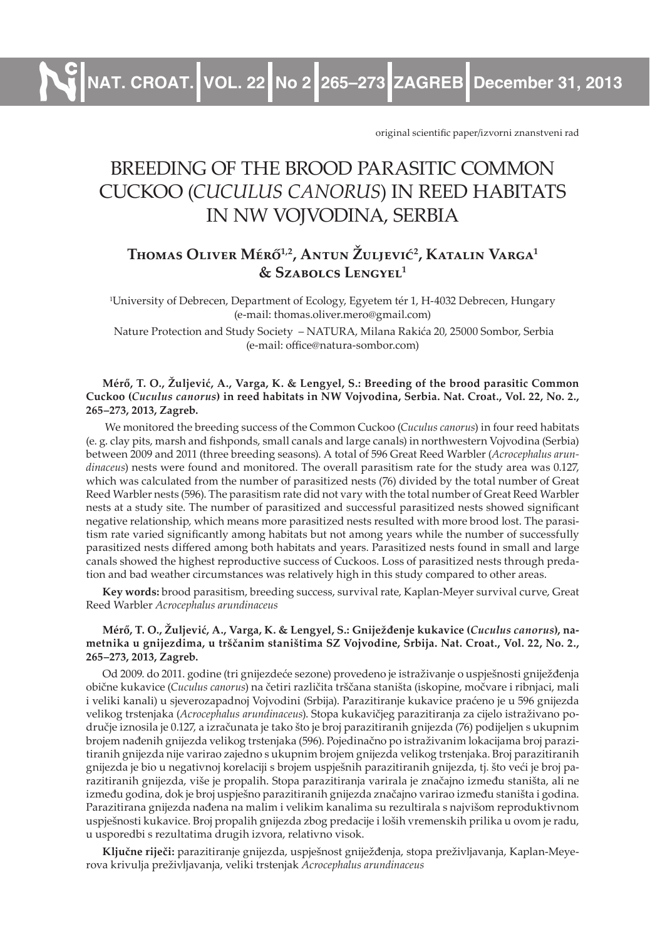**NAT. CROAT. VOL. 22 No 2 265–273 ZAGREB December 31, 2013**

original scientific paper/izvorni znanstveni rad

# BREEDING OF THE BROOD PARASITIC COMMON CUCKOO (*CUCULUS CANORUS*) IN REED HABITATS IN NW VOJVODINA, SERBIA

## **Thomas Oliver Mérő1,2, Antun Žuljević<sup>2</sup> , Katalin Varga<sup>1</sup> & Szabolcs Lengyel<sup>1</sup>**

1 University of Debrecen, Department of Ecology, Egyetem tér 1, H-4032 Debrecen, Hungary (e-mail: thomas.oliver.mero@gmail.com)

 Nature Protection and Study Society – NATURA, Milana Rakića 20, 25000 Sombor, Serbia (e-mail: office@natura-sombor.com)

#### **Mérő, T. O., Žuljević, A., Varga, K. & Lengyel, S.: Breeding of the brood parasitic Common Cuckoo (***Cuculus canorus***) in reed habitats in NW Vojvodina, Serbia. Nat. Croat., Vol. 22, No. 2., 265–273, 2013, Zagreb.**

 We monitored the breeding success of the Common Cuckoo (*Cuculus canorus*) in four reed habitats (e. g. clay pits, marsh and fishponds, small canals and large canals) in northwestern Vojvodina (Serbia) between 2009 and 2011 (three breeding seasons). A total of 596 Great Reed Warbler (*Acrocephalus arundinaceus*) nests were found and monitored. The overall parasitism rate for the study area was 0.127, which was calculated from the number of parasitized nests (76) divided by the total number of Great Reed Warbler nests (596). The parasitism rate did not vary with the total number of Great Reed Warbler nests at a study site. The number of parasitized and successful parasitized nests showed significant negative relationship, which means more parasitized nests resulted with more brood lost. The parasitism rate varied significantly among habitats but not among years while the number of successfully parasitized nests differed among both habitats and years. Parasitized nests found in small and large canals showed the highest reproductive success of Cuckoos. Loss of parasitized nests through predation and bad weather circumstances was relatively high in this study compared to other areas.

**Key words:** brood parasitism, breeding success, survival rate, Kaplan-Meyer survival curve, Great Reed Warbler *Acrocephalus arundinaceus*

#### **Mérő, T. O., Žuljević, A., Varga, K. & Lengyel, S.: Gniježđenje kukavice (***Cuculus canorus***), nametnika u gnijezdima, u trščanim staništima SZ Vojvodine, Srbija. Nat. Croat., Vol. 22, No. 2., 265–273, 2013, Zagreb.**

Od 2009. do 2011. godine (tri gnijezdeće sezone) provedeno je istraživanje o uspješnosti gniježđenja obične kukavice (*Cuculus canorus*) na četiri različita trščana staništa (iskopine, močvare i ribnjaci, mali i veliki kanali) u sjeverozapadnoj Vojvodini (Srbija). Parazitiranje kukavice praćeno je u 596 gnijezda velikog trstenjaka (*Acrocephalus arundinaceus*). Stopa kukavičjeg parazitiranja za cijelo istraživano područje iznosila je 0.127, a izračunata je tako što je broj parazitiranih gnijezda (76) podijeljen s ukupnim brojem nađenih gnijezda velikog trstenjaka (596). Pojedinačno po istraživanim lokacijama broj parazitiranih gnijezda nije varirao zajedno s ukupnim brojem gnijezda velikog trstenjaka. Broj parazitiranih gnijezda je bio u negativnoj korelaciji s brojem uspješnih parazitiranih gnijezda, tj. što veći je broj parazitiranih gnijezda, više je propalih. Stopa parazitiranja varirala je značajno između staništa, ali ne između godina, dok je broj uspješno parazitiranih gnijezda značajno varirao između staništa i godina. Parazitirana gnijezda nađena na malim i velikim kanalima su rezultirala s najvišom reproduktivnom uspješnosti kukavice. Broj propalih gnijezda zbog predacije i loših vremenskih prilika u ovom je radu, u usporedbi s rezultatima drugih izvora, relativno visok.

**Ključne riječi:** parazitiranje gnijezda, uspješnost gniježđenja, stopa preživljavanja, Kaplan-Meyerova krivulja preživljavanja, veliki trstenjak *Acrocephalus arundinaceus*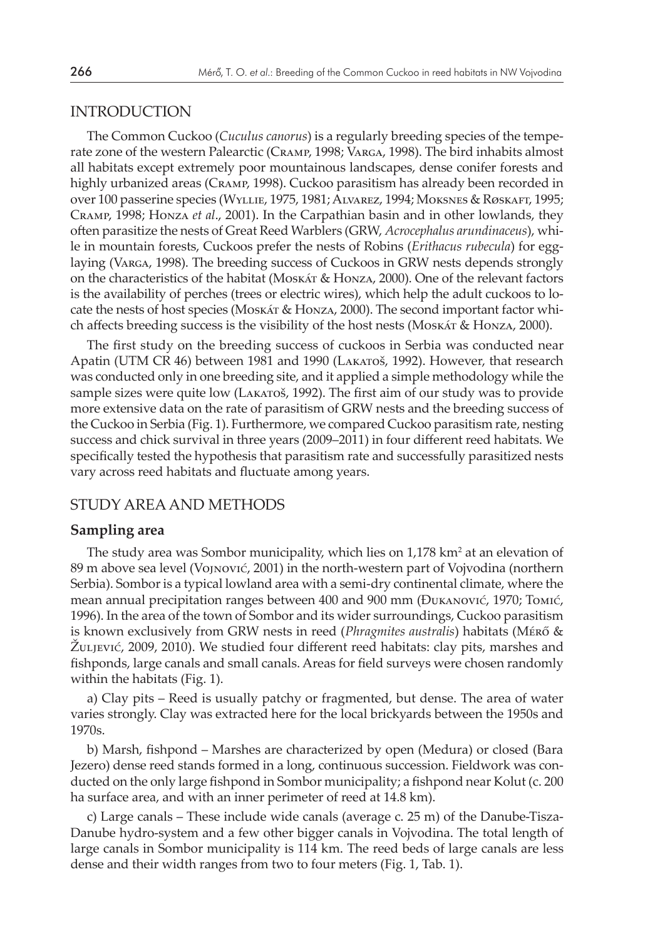## INTRODUCTION

The Common Cuckoo (*Cuculus canorus*) is a regularly breeding species of the temperate zone of the western Palearctic (Cramp, 1998; Varga, 1998). The bird inhabits almost all habitats except extremely poor mountainous landscapes, dense conifer forests and highly urbanized areas (Cramp, 1998). Cuckoo parasitism has already been recorded in over 100 passerine species (Wyllie, 1975, 1981; Alvarez, 1994; Moksnes & Røskaft, 1995; Cramp, 1998; Honza *et al*., 2001). In the Carpathian basin and in other lowlands, they often parasitize the nests of Great Reed Warblers (GRW, *Acrocephalus arundinaceus*), while in mountain forests, Cuckoos prefer the nests of Robins (*Erithacus rubecula*) for egglaying (Varga, 1998). The breeding success of Cuckoos in GRW nests depends strongly on the characteristics of the habitat (Moskát & Honza, 2000). One of the relevant factors is the availability of perches (trees or electric wires), which help the adult cuckoos to locate the nests of host species (Moskát & Honza, 2000). The second important factor which affects breeding success is the visibility of the host nests (Moskát & Honza, 2000).

The first study on the breeding success of cuckoos in Serbia was conducted near Apatin (UTM CR 46) between 1981 and 1990 (Lakatoš, 1992). However, that research was conducted only in one breeding site, and it applied a simple methodology while the sample sizes were quite low (Lakatoš, 1992). The first aim of our study was to provide more extensive data on the rate of parasitism of GRW nests and the breeding success of the Cuckoo in Serbia (Fig. 1). Furthermore, we compared Cuckoo parasitism rate, nesting success and chick survival in three years (2009–2011) in four different reed habitats. We specifically tested the hypothesis that parasitism rate and successfully parasitized nests vary across reed habitats and fluctuate among years.

## STUDY AREA AND METHODS

#### **Sampling area**

The study area was Sombor municipality, which lies on  $1,178$  km<sup>2</sup> at an elevation of 89 m above sea level (Vojnović, 2001) in the north-western part of Vojvodina (northern Serbia). Sombor is a typical lowland area with a semi-dry continental climate, where the mean annual precipitation ranges between 400 and 900 mm (Đukanović, 1970; Tomić, 1996). In the area of the town of Sombor and its wider surroundings, Cuckoo parasitism is known exclusively from GRW nests in reed (*Phragmites australis*) habitats (Mérő & Žuljević, 2009, 2010). We studied four different reed habitats: clay pits, marshes and fishponds, large canals and small canals. Areas for field surveys were chosen randomly within the habitats (Fig. 1).

a) Clay pits – Reed is usually patchy or fragmented, but dense. The area of water varies strongly. Clay was extracted here for the local brickyards between the 1950s and 1970s.

b) Marsh, fishpond – Marshes are characterized by open (Medura) or closed (Bara Jezero) dense reed stands formed in a long, continuous succession. Fieldwork was conducted on the only large fishpond in Sombor municipality; a fishpond near Kolut (c. 200 ha surface area, and with an inner perimeter of reed at 14.8 km).

c) Large canals – These include wide canals (average c. 25 m) of the Danube-Tisza-Danube hydro-system and a few other bigger canals in Vojvodina. The total length of large canals in Sombor municipality is 114 km. The reed beds of large canals are less dense and their width ranges from two to four meters (Fig. 1, Tab. 1).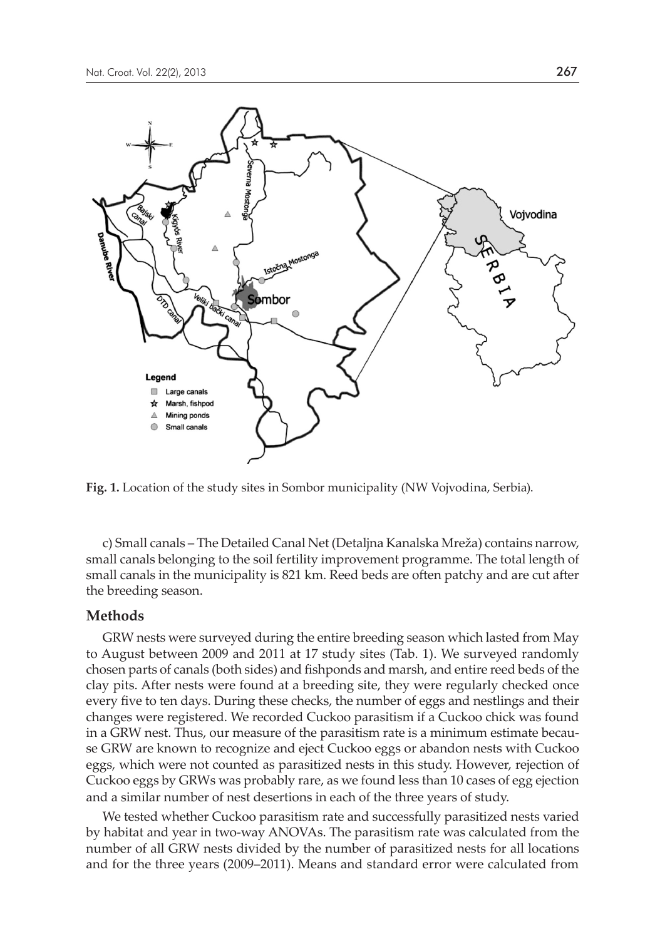

**Fig. 1.** Location of the study sites in Sombor municipality (NW Vojvodina, Serbia).

c) Small canals – The Detailed Canal Net (Detaljna Kanalska Mreža) contains narrow, small canals belonging to the soil fertility improvement programme. The total length of small canals in the municipality is 821 km. Reed beds are often patchy and are cut after the breeding season.

### **Methods**

GRW nests were surveyed during the entire breeding season which lasted from May to August between 2009 and 2011 at 17 study sites (Tab. 1). We surveyed randomly chosen parts of canals (both sides) and fishponds and marsh, and entire reed beds of the clay pits. After nests were found at a breeding site, they were regularly checked once every five to ten days. During these checks, the number of eggs and nestlings and their changes were registered. We recorded Cuckoo parasitism if a Cuckoo chick was found in a GRW nest. Thus, our measure of the parasitism rate is a minimum estimate because GRW are known to recognize and eject Cuckoo eggs or abandon nests with Cuckoo eggs, which were not counted as parasitized nests in this study. However, rejection of Cuckoo eggs by GRWs was probably rare, as we found less than 10 cases of egg ejection and a similar number of nest desertions in each of the three years of study.

We tested whether Cuckoo parasitism rate and successfully parasitized nests varied by habitat and year in two-way ANOVAs. The parasitism rate was calculated from the number of all GRW nests divided by the number of parasitized nests for all locations and for the three years (2009–2011). Means and standard error were calculated from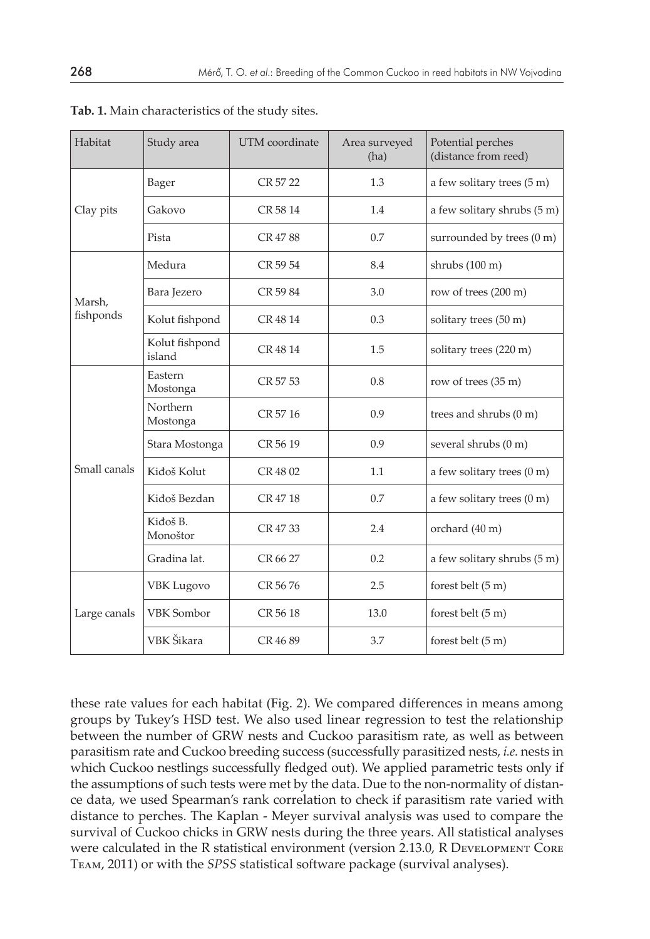| Habitat             | Study area               | UTM coordinate | Area surveyed<br>(ha) | Potential perches<br>(distance from reed) |  |
|---------------------|--------------------------|----------------|-----------------------|-------------------------------------------|--|
| Clay pits           | <b>Bager</b>             | CR 57 22       | 1.3                   | a few solitary trees (5 m)                |  |
|                     | Gakovo                   | CR 58 14       | 1.4                   | a few solitary shrubs (5 m)               |  |
|                     | Pista                    | CR 4788        | 0.7                   | surrounded by trees (0 m)                 |  |
| Marsh,<br>fishponds | Medura                   | CR 59 54       | 8.4                   | shrubs (100 m)                            |  |
|                     | Bara Jezero              | CR 5984        | 3.0                   | row of trees (200 m)                      |  |
|                     | Kolut fishpond           | CR 48 14       | 0.3                   | solitary trees (50 m)                     |  |
|                     | Kolut fishpond<br>island | CR 48 14       | 1.5                   | solitary trees (220 m)                    |  |
| Small canals        | Eastern<br>Mostonga      | CR 57 53       | 0.8                   | row of trees (35 m)                       |  |
|                     | Northern<br>Mostonga     | CR 57 16       | 0.9                   | trees and shrubs (0 m)                    |  |
|                     | Stara Mostonga           | CR 56 19       | 0.9                   | several shrubs (0 m)                      |  |
|                     | Kiđoš Kolut              | CR 4802        | 1.1                   | a few solitary trees (0 m)                |  |
|                     | Kiđoš Bezdan             | CR 47 18       | 0.7                   | a few solitary trees (0 m)                |  |
|                     | Kiđoš B.<br>Monoštor     | CR 4733        | 2.4                   | orchard (40 m)                            |  |
|                     | Gradina lat.             | CR 66 27       | 0.2                   | a few solitary shrubs (5 m)               |  |
| Large canals        | <b>VBK</b> Lugovo        | CR 5676        | 2.5                   | forest belt (5 m)                         |  |
|                     | <b>VBK</b> Sombor        | CR 56 18       | 13.0                  | forest belt (5 m)                         |  |
|                     | VBK Šikara               | CR 4689        | 3.7                   | forest belt (5 m)                         |  |

**Tab. 1.** Main characteristics of the study sites.

these rate values for each habitat (Fig. 2). We compared differences in means among groups by Tukey's HSD test. We also used linear regression to test the relationship between the number of GRW nests and Cuckoo parasitism rate, as well as between parasitism rate and Cuckoo breeding success (successfully parasitized nests, *i.e.* nests in which Cuckoo nestlings successfully fledged out). We applied parametric tests only if the assumptions of such tests were met by the data. Due to the non-normality of distance data, we used Spearman's rank correlation to check if parasitism rate varied with distance to perches. The Kaplan - Meyer survival analysis was used to compare the survival of Cuckoo chicks in GRW nests during the three years. All statistical analyses were calculated in the R statistical environment (version 2.13.0, R Development Core Team, 2011) or with the *SPSS* statistical software package (survival analyses).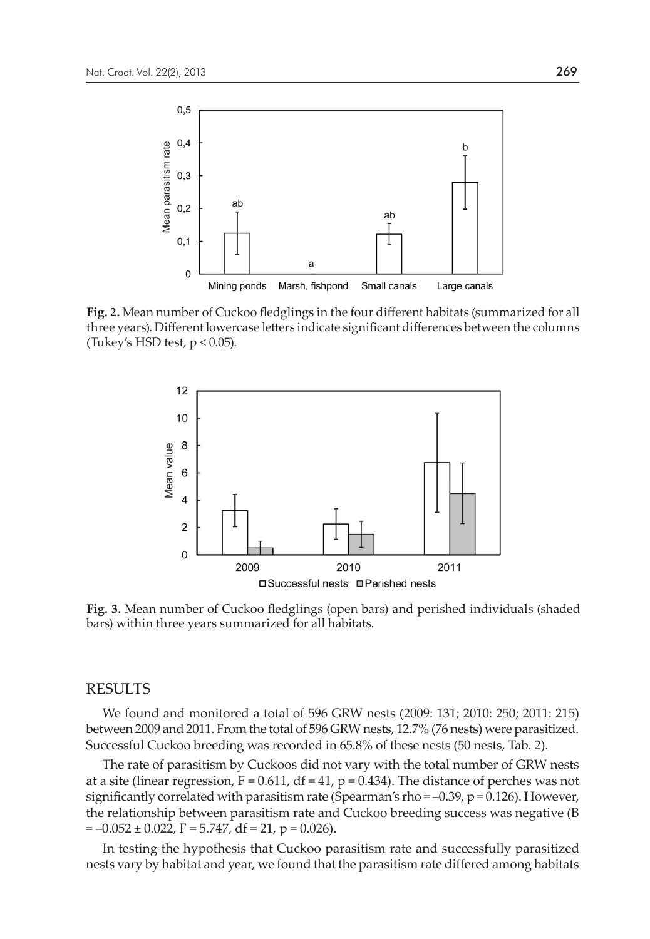

**Fig. 2.** Mean number of Cuckoo fledglings in the four different habitats (summarized for all three years). Different lowercase letters indicate significant differences between the columns (Tukey's HSD test,  $p < 0.05$ ).



**Fig. 3.** Mean number of Cuckoo fledglings (open bars) and perished individuals (shaded bars) within three years summarized for all habitats.

#### RESULTS

We found and monitored a total of 596 GRW nests (2009: 131; 2010: 250; 2011: 215) between 2009 and 2011. From the total of 596 GRW nests, 12.7% (76 nests) were parasitized. Successful Cuckoo breeding was recorded in 65.8% of these nests (50 nests, Tab. 2).

The rate of parasitism by Cuckoos did not vary with the total number of GRW nests at a site (linear regression,  $F = 0.611$ ,  $df = 41$ ,  $p = 0.434$ ). The distance of perches was not significantly correlated with parasitism rate (Spearman's rho =  $-0.39$ ,  $p = 0.126$ ). However, the relationship between parasitism rate and Cuckoo breeding success was negative (B  $= -0.052 \pm 0.022$ ,  $F = 5.747$ , df = 21, p = 0.026).

In testing the hypothesis that Cuckoo parasitism rate and successfully parasitized nests vary by habitat and year, we found that the parasitism rate differed among habitats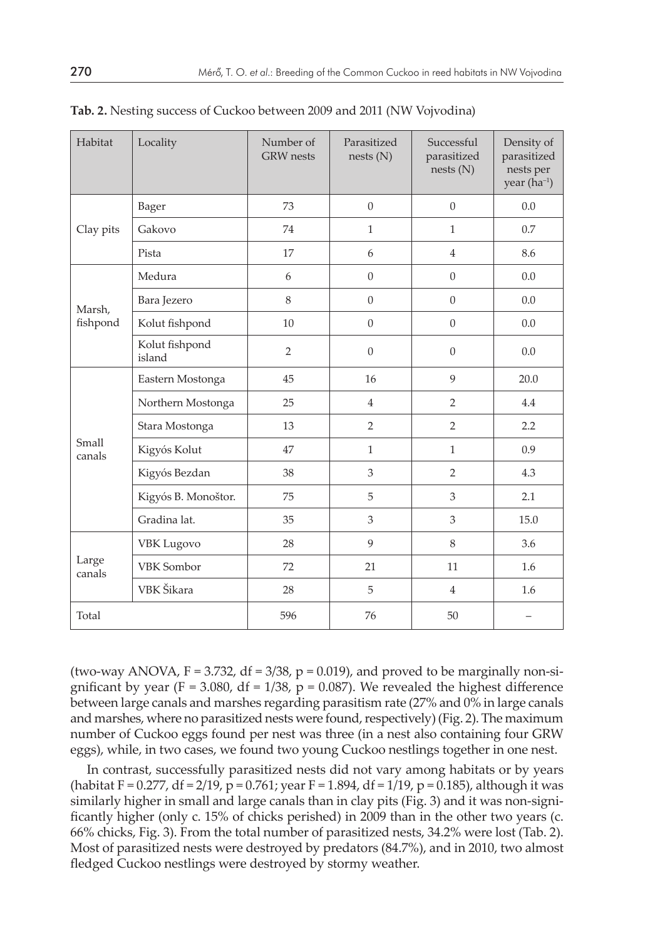| Habitat            | Locality                 | Number of<br><b>GRW</b> nests | Parasitized<br>nests(N) | Successful<br>parasitized<br>nests(N) | Density of<br>parasitized<br>nests per<br>year (ha <sup>-1</sup> ) |
|--------------------|--------------------------|-------------------------------|-------------------------|---------------------------------------|--------------------------------------------------------------------|
| Clay pits          | Bager                    | 73                            | $\Omega$                | $\Omega$                              | 0.0                                                                |
|                    | Gakovo                   | 74                            | $\mathbf{1}$            | $\mathbf{1}$                          | 0.7                                                                |
|                    | Pista                    | 17                            | 6                       | $\overline{4}$                        | 8.6                                                                |
| Marsh,<br>fishpond | Medura                   | 6                             | $\overline{0}$          | $\overline{0}$                        | 0.0                                                                |
|                    | Bara Jezero              | 8                             | $\Omega$                | $\overline{0}$                        | 0.0                                                                |
|                    | Kolut fishpond           | 10                            | $\overline{0}$          | $\theta$                              | 0.0                                                                |
|                    | Kolut fishpond<br>island | $\overline{2}$                | $\theta$                | $\overline{0}$                        | 0.0                                                                |
| Small<br>canals    | Eastern Mostonga         | 45                            | 16                      | 9                                     | 20.0                                                               |
|                    | Northern Mostonga        | 25                            | $\overline{4}$          | $\overline{2}$                        | 4.4                                                                |
|                    | Stara Mostonga           | 13                            | $\overline{2}$          | $\overline{2}$                        | 2.2                                                                |
|                    | Kigyós Kolut             | 47                            | $\mathbf{1}$            | $\mathbf{1}$                          | 0.9                                                                |
|                    | Kigyós Bezdan            | 38                            | 3                       | $\overline{2}$                        | 4.3                                                                |
|                    | Kigyós B. Monoštor.      | 75                            | 5                       | 3                                     | 2.1                                                                |
|                    | Gradina lat.             | 35                            | 3                       | 3                                     | 15.0                                                               |
| Large<br>canals    | <b>VBK</b> Lugovo        | 28                            | 9                       | 8                                     | 3.6                                                                |
|                    | <b>VBK</b> Sombor        | 72                            | 21                      | 11                                    | 1.6                                                                |
|                    | VBK Šikara               | 28                            | 5                       | $\overline{4}$                        | 1.6                                                                |
| Total              |                          | 596                           | 76                      | 50                                    |                                                                    |

**Tab. 2.** Nesting success of Cuckoo between 2009 and 2011 (NW Vojvodina)

(two-way ANOVA,  $F = 3.732$ ,  $df = 3/38$ ,  $p = 0.019$ ), and proved to be marginally non-significant by year (F = 3.080, df = 1/38, p = 0.087). We revealed the highest difference between large canals and marshes regarding parasitism rate (27% and 0% in large canals and marshes, where no parasitized nests were found, respectively) (Fig. 2). The maximum number of Cuckoo eggs found per nest was three (in a nest also containing four GRW eggs), while, in two cases, we found two young Cuckoo nestlings together in one nest.

In contrast, successfully parasitized nests did not vary among habitats or by years (habitat F = 0.277, df = 2/19, p = 0.761; year F = 1.894, df = 1/19, p = 0.185), although it was similarly higher in small and large canals than in clay pits (Fig. 3) and it was non-significantly higher (only c. 15% of chicks perished) in 2009 than in the other two years (c. 66% chicks, Fig. 3). From the total number of parasitized nests, 34.2% were lost (Tab. 2). Most of parasitized nests were destroyed by predators (84.7%), and in 2010, two almost fledged Cuckoo nestlings were destroyed by stormy weather.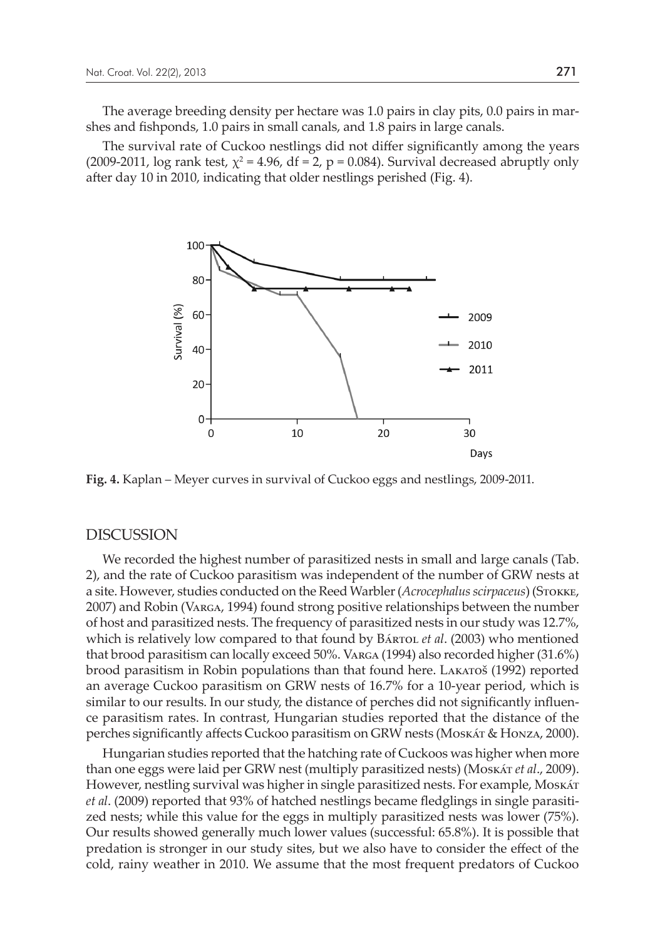The average breeding density per hectare was 1.0 pairs in clay pits, 0.0 pairs in marshes and fishponds, 1.0 pairs in small canals, and 1.8 pairs in large canals.

The survival rate of Cuckoo nestlings did not differ significantly among the years (2009-2011, log rank test,  $\chi^2$  = 4.96, df = 2, p = 0.084). Survival decreased abruptly only after day 10 in 2010, indicating that older nestlings perished (Fig. 4).



**Fig. 4.** Kaplan – Meyer curves in survival of Cuckoo eggs and nestlings, 2009-2011.

#### DISCUSSION

We recorded the highest number of parasitized nests in small and large canals (Tab. 2), and the rate of Cuckoo parasitism was independent of the number of GRW nests at a site. However, studies conducted on the Reed Warbler (*Acrocephalus scirpaceus*) (Stokke, 2007) and Robin (Varga, 1994) found strong positive relationships between the number of host and parasitized nests. The frequency of parasitized nests in our study was 12.7%, which is relatively low compared to that found by Bárro*L et al.* (2003) who mentioned that brood parasitism can locally exceed 50%. Varga (1994) also recorded higher (31.6%) brood parasitism in Robin populations than that found here. Lakatoš (1992) reported an average Cuckoo parasitism on GRW nests of 16.7% for a 10-year period, which is similar to our results. In our study, the distance of perches did not significantly influence parasitism rates. In contrast, Hungarian studies reported that the distance of the perches significantly affects Cuckoo parasitism on GRW nests (Moskát & Honza, 2000).

Hungarian studies reported that the hatching rate of Cuckoos was higher when more than one eggs were laid per GRW nest (multiply parasitized nests) (Moskát *et al*., 2009). However, nestling survival was higher in single parasitized nests. For example, Moskát *et al*. (2009) reported that 93% of hatched nestlings became fledglings in single parasitized nests; while this value for the eggs in multiply parasitized nests was lower (75%). Our results showed generally much lower values (successful: 65.8%). It is possible that predation is stronger in our study sites, but we also have to consider the effect of the cold, rainy weather in 2010. We assume that the most frequent predators of Cuckoo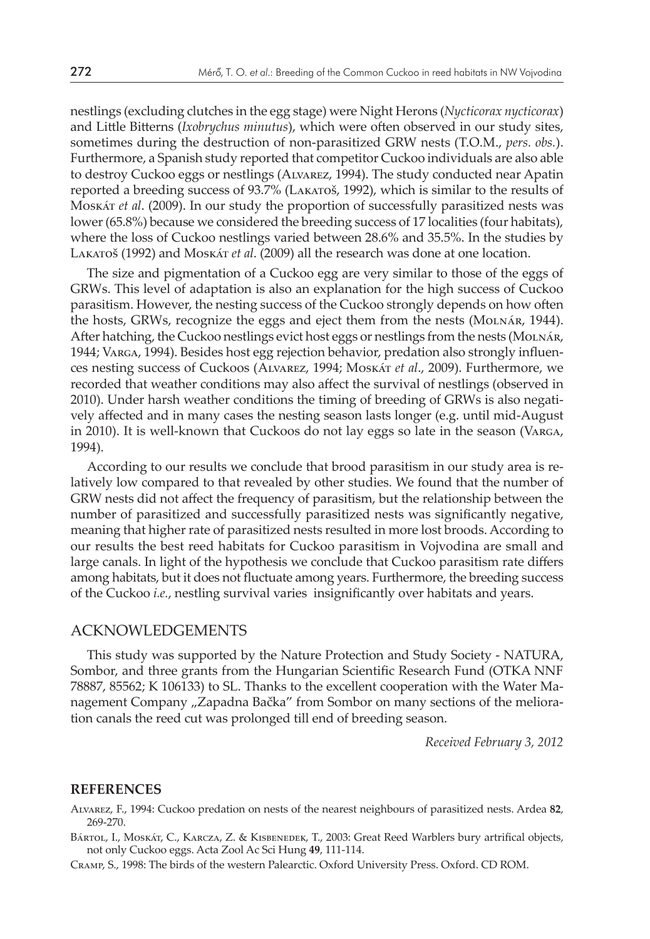nestlings (excluding clutches in the egg stage) were Night Herons (*Nycticorax nycticorax*) and Little Bitterns (*Ixobrychus minutus*), which were often observed in our study sites, sometimes during the destruction of non-parasitized GRW nests (T.O.M., *pers. obs.*). Furthermore, a Spanish study reported that competitor Cuckoo individuals are also able to destroy Cuckoo eggs or nestlings (Alvarez, 1994). The study conducted near Apatin reported a breeding success of 93.7% (Lakatoš, 1992), which is similar to the results of Moskát *et al*. (2009). In our study the proportion of successfully parasitized nests was lower (65.8%) because we considered the breeding success of 17 localities (four habitats), where the loss of Cuckoo nestlings varied between 28.6% and 35.5%. In the studies by Lakatoš (1992) and Moskát *et al*. (2009) all the research was done at one location.

The size and pigmentation of a Cuckoo egg are very similar to those of the eggs of GRWs. This level of adaptation is also an explanation for the high success of Cuckoo parasitism. However, the nesting success of the Cuckoo strongly depends on how often the hosts, GRWs, recognize the eggs and eject them from the nests (MOLNÁR, 1944). After hatching, the Cuckoo nestlings evict host eggs or nestlings from the nests (Molnár, 1944; Varga, 1994). Besides host egg rejection behavior, predation also strongly influences nesting success of Cuckoos (Alvarez, 1994; Moskát *et al*., 2009). Furthermore, we recorded that weather conditions may also affect the survival of nestlings (observed in 2010). Under harsh weather conditions the timing of breeding of GRWs is also negatively affected and in many cases the nesting season lasts longer (e.g. until mid-August in 2010). It is well-known that Cuckoos do not lay eggs so late in the season (Varga, 1994).

According to our results we conclude that brood parasitism in our study area is relatively low compared to that revealed by other studies. We found that the number of GRW nests did not affect the frequency of parasitism, but the relationship between the number of parasitized and successfully parasitized nests was significantly negative, meaning that higher rate of parasitized nests resulted in more lost broods. According to our results the best reed habitats for Cuckoo parasitism in Vojvodina are small and large canals. In light of the hypothesis we conclude that Cuckoo parasitism rate differs among habitats, but it does not fluctuate among years. Furthermore, the breeding success of the Cuckoo *i.e.*, nestling survival varies insignificantly over habitats and years.

#### ACKNOWLEDGEMENTS

This study was supported by the Nature Protection and Study Society - NATURA, Sombor, and three grants from the Hungarian Scientific Research Fund (OTKA NNF 78887, 85562; K 106133) to SL. Thanks to the excellent cooperation with the Water Management Company "Zapadna Bačka" from Sombor on many sections of the melioration canals the reed cut was prolonged till end of breeding season.

*Received February 3, 2012*

#### **REFERENCES**

Alvarez, F., 1994: Cuckoo predation on nests of the nearest neighbours of parasitized nests. Ardea **82**, 269-270.

BÁRTOL, I., MOSKÁT, C., KARCZA, Z. & KISBENEDEK, T., 2003: Great Reed Warblers bury artrifical objects, not only Cuckoo eggs. Acta Zool Ac Sci Hung **49**, 111-114.

Cramp, S., 1998: The birds of the western Palearctic. Oxford University Press. Oxford. CD ROM.